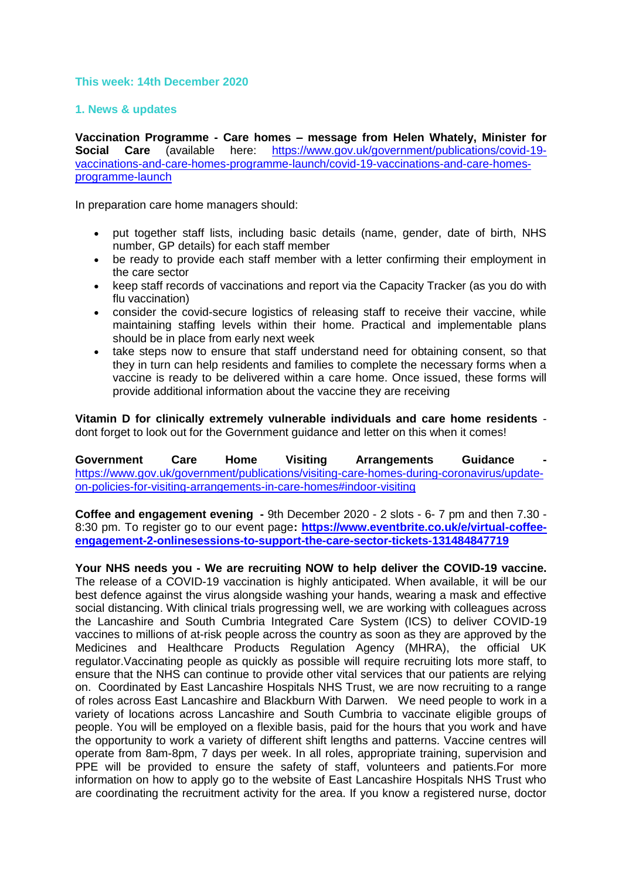### **This week: 14th December 2020**

### **1. News & updates**

**Vaccination Programme - Care homes – message from Helen Whately, Minister for Social Care** (available here: [https://www.gov.uk/government/publications/covid-19](https://www.gov.uk/government/publications/covid-19-vaccinations-and-care-homes-programme-launch/covid-19-vaccinations-and-care-homes-programme-launch) [vaccinations-and-care-homes-programme-launch/covid-19-vaccinations-and-care-homes](https://www.gov.uk/government/publications/covid-19-vaccinations-and-care-homes-programme-launch/covid-19-vaccinations-and-care-homes-programme-launch)[programme-launch](https://www.gov.uk/government/publications/covid-19-vaccinations-and-care-homes-programme-launch/covid-19-vaccinations-and-care-homes-programme-launch)

In preparation care home managers should:

- put together staff lists, including basic details (name, gender, date of birth, NHS number, GP details) for each staff member
- be ready to provide each staff member with a letter confirming their employment in the care sector
- keep staff records of vaccinations and report via the Capacity Tracker (as you do with flu vaccination)
- consider the covid-secure logistics of releasing staff to receive their vaccine, while maintaining staffing levels within their home. Practical and implementable plans should be in place from early next week
- take steps now to ensure that staff understand need for obtaining consent, so that they in turn can help residents and families to complete the necessary forms when a vaccine is ready to be delivered within a care home. Once issued, these forms will provide additional information about the vaccine they are receiving

**Vitamin D for clinically extremely vulnerable individuals and care home residents** dont forget to look out for the Government guidance and letter on this when it comes!

Government Care Home Visiting Arrangements Guidance [https://www.gov.uk/government/publications/visiting-care-homes-during-coronavirus/update](https://www.gov.uk/government/publications/visiting-care-homes-during-coronavirus/update-on-policies-for-visiting-arrangements-in-care-homes#indoor-visiting)[on-policies-for-visiting-arrangements-in-care-homes#indoor-visiting](https://www.gov.uk/government/publications/visiting-care-homes-during-coronavirus/update-on-policies-for-visiting-arrangements-in-care-homes#indoor-visiting)

**Coffee and engagement evening -** 9th December 2020 - 2 slots - 6- 7 pm and then 7.30 - 8:30 pm. To register go to our event page**: [https://www.eventbrite.co.uk/e/virtual-coffee](https://www.eventbrite.co.uk/e/virtual-coffee-engagement-2-onlinesessions-to-support-the-care-sector-tickets-131484847719)[engagement-2-onlinesessions-to-support-the-care-sector-tickets-131484847719](https://www.eventbrite.co.uk/e/virtual-coffee-engagement-2-onlinesessions-to-support-the-care-sector-tickets-131484847719)**

**Your NHS needs you - We are recruiting NOW to help deliver the COVID-19 vaccine.** The release of a COVID-19 vaccination is highly anticipated. When available, it will be our best defence against the virus alongside washing your hands, wearing a mask and effective social distancing. With clinical trials progressing well, we are working with colleagues across the Lancashire and South Cumbria Integrated Care System (ICS) to deliver COVID-19 vaccines to millions of at-risk people across the country as soon as they are approved by the Medicines and Healthcare Products Regulation Agency (MHRA), the official UK regulator.Vaccinating people as quickly as possible will require recruiting lots more staff, to ensure that the NHS can continue to provide other vital services that our patients are relying on. Coordinated by East Lancashire Hospitals NHS Trust, we are now recruiting to a range of roles across East Lancashire and Blackburn With Darwen. We need people to work in a variety of locations across Lancashire and South Cumbria to vaccinate eligible groups of people. You will be employed on a flexible basis, paid for the hours that you work and have the opportunity to work a variety of different shift lengths and patterns. Vaccine centres will operate from 8am-8pm, 7 days per week. In all roles, appropriate training, supervision and PPE will be provided to ensure the safety of staff, volunteers and patients. For more information on how to apply go to the website of East Lancashire Hospitals NHS Trust who are coordinating the recruitment activity for the area. If you know a registered nurse, doctor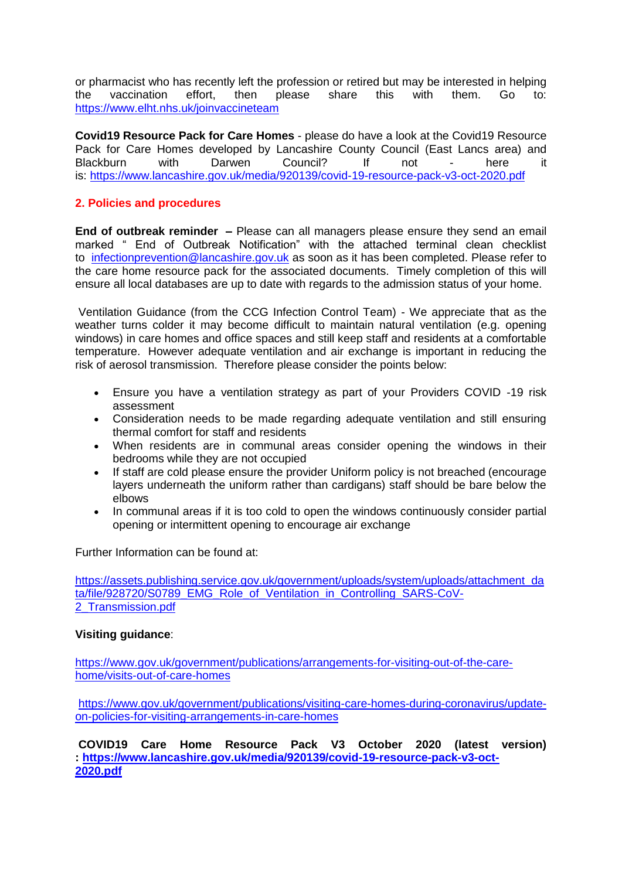or pharmacist who has recently left the profession or retired but may be interested in helping the vaccination effort, then please share this with them. Go to: <https://www.elht.nhs.uk/joinvaccineteam>

**Covid19 Resource Pack for Care Homes** - please do have a look at the Covid19 Resource Pack for Care Homes developed by Lancashire County Council (East Lancs area) and Blackburn with Darwen Council? If not - here it is: <https://www.lancashire.gov.uk/media/920139/covid-19-resource-pack-v3-oct-2020.pdf>

## **2. Policies and procedures**

**End of outbreak reminder –** Please can all managers please ensure they send an email marked " End of Outbreak Notification" with the attached terminal clean checklist to [infectionprevention@lancashire.gov.uk](mailto:infectionprevention@lancashire.gov.uk) as soon as it has been completed. Please refer to the care home resource pack for the associated documents. Timely completion of this will ensure all local databases are up to date with regards to the admission status of your home.

Ventilation Guidance (from the CCG Infection Control Team) - We appreciate that as the weather turns colder it may become difficult to maintain natural ventilation (e.g. opening windows) in care homes and office spaces and still keep staff and residents at a comfortable temperature. However adequate ventilation and air exchange is important in reducing the risk of aerosol transmission. Therefore please consider the points below:

- Ensure you have a ventilation strategy as part of your Providers COVID -19 risk assessment
- Consideration needs to be made regarding adequate ventilation and still ensuring thermal comfort for staff and residents
- When residents are in communal areas consider opening the windows in their bedrooms while they are not occupied
- If staff are cold please ensure the provider Uniform policy is not breached (encourage layers underneath the uniform rather than cardigans) staff should be bare below the elbows
- In communal areas if it is too cold to open the windows continuously consider partial opening or intermittent opening to encourage air exchange

Further Information can be found at:

[https://assets.publishing.service.gov.uk/government/uploads/system/uploads/attachment\\_da](https://assets.publishing.service.gov.uk/government/uploads/system/uploads/attachment_data/file/928720/S0789_EMG_Role_of_Ventilation_in_Controlling_SARS-CoV-2_Transmission.pdf) [ta/file/928720/S0789\\_EMG\\_Role\\_of\\_Ventilation\\_in\\_Controlling\\_SARS-CoV-](https://assets.publishing.service.gov.uk/government/uploads/system/uploads/attachment_data/file/928720/S0789_EMG_Role_of_Ventilation_in_Controlling_SARS-CoV-2_Transmission.pdf)[2\\_Transmission.pdf](https://assets.publishing.service.gov.uk/government/uploads/system/uploads/attachment_data/file/928720/S0789_EMG_Role_of_Ventilation_in_Controlling_SARS-CoV-2_Transmission.pdf)

## **Visiting guidance**:

[https://www.gov.uk/government/publications/arrangements-for-visiting-out-of-the-care](https://www.gov.uk/government/publications/arrangements-for-visiting-out-of-the-care-home/visits-out-of-care-homes)[home/visits-out-of-care-homes](https://www.gov.uk/government/publications/arrangements-for-visiting-out-of-the-care-home/visits-out-of-care-homes)

[https://www.gov.uk/government/publications/visiting-care-homes-during-coronavirus/update](https://www.gov.uk/government/publications/visiting-care-homes-during-coronavirus/update-on-policies-for-visiting-arrangements-in-care-homes)[on-policies-for-visiting-arrangements-in-care-homes](https://www.gov.uk/government/publications/visiting-care-homes-during-coronavirus/update-on-policies-for-visiting-arrangements-in-care-homes)

**COVID19 Care Home Resource Pack V3 October 2020 (latest version) : [https://www.lancashire.gov.uk/media/920139/covid-19-resource-pack-v3-oct-](https://www.lancashire.gov.uk/media/920139/covid-19-resource-pack-v3-oct-2020.pdf)[2020.pdf](https://www.lancashire.gov.uk/media/920139/covid-19-resource-pack-v3-oct-2020.pdf)**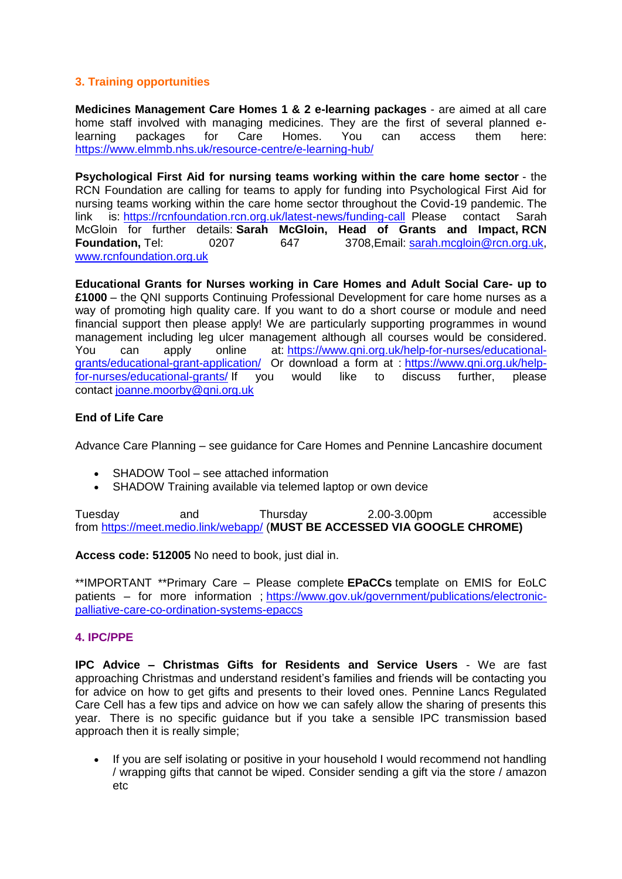# **3. Training opportunities**

**Medicines Management Care Homes 1 & 2 e-learning packages** - are aimed at all care home staff involved with managing medicines. They are the first of several planned elearning packages for Care Homes. You can access them here: <https://www.elmmb.nhs.uk/resource-centre/e-learning-hub/>

**Psychological First Aid for nursing teams working within the care home sector** - the RCN Foundation are calling for teams to apply for funding into Psychological First Aid for nursing teams working within the care home sector throughout the Covid-19 pandemic. The link is: <https://rcnfoundation.rcn.org.uk/latest-news/funding-call>Please contact Sarah McGloin for further details: **Sarah McGloin, Head of Grants and Impact, RCN Foundation,** Tel: 0207 647 3708,Email: [sarah.mcgloin@rcn.org.uk,](mailto:sarah.mcgloin@rcn.org.uk) [www.rcnfoundation.org.uk](https://qni.us6.list-manage.com/track/click?u=69607e85dd2b3ddde59bac2b6&id=6d56d6fe3e&e=2f3634ef4c)

**Educational Grants for Nurses working in Care Homes and Adult Social Care- up to £1000** – the QNI supports Continuing Professional Development for care home nurses as a way of promoting high quality care. If you want to do a short course or module and need financial support then please apply! We are particularly supporting programmes in wound management including leg ulcer management although all courses would be considered. You can apply online at: [https://www.qni.org.uk/help-for-nurses/educational](https://www.qni.org.uk/help-for-nurses/educational-grants/educational-grant-application/)[grants/educational-grant-application/](https://www.qni.org.uk/help-for-nurses/educational-grants/educational-grant-application/) Or download a form at : [https://www.qni.org.uk/help](https://www.qni.org.uk/help-for-nurses/educational-grants/)[for-nurses/educational-grants/](https://www.qni.org.uk/help-for-nurses/educational-grants/) If you would like to discuss further, please contact [joanne.moorby@qni.org.uk](mailto:joanne.moorby@qni.org.uk)

## **End of Life Care**

Advance Care Planning – see guidance for Care Homes and Pennine Lancashire document

- SHADOW Tool see attached information
- SHADOW Training available via telemed laptop or own device

Tuesday and Thursday 2.00-3.00pm accessible from <https://meet.medio.link/webapp/> (**MUST BE ACCESSED VIA GOOGLE CHROME)**

**Access code: 512005** No need to book, just dial in.

\*\*IMPORTANT \*\*Primary Care – Please complete **EPaCCs** template on EMIS for EoLC patients – for more information ; [https://www.gov.uk/government/publications/electronic](https://www.gov.uk/government/publications/electronic-palliative-care-co-ordination-systems-epaccs)[palliative-care-co-ordination-systems-epaccs](https://www.gov.uk/government/publications/electronic-palliative-care-co-ordination-systems-epaccs)

## **4. IPC/PPE**

**IPC Advice – Christmas Gifts for Residents and Service Users** - We are fast approaching Christmas and understand resident's families and friends will be contacting you for advice on how to get gifts and presents to their loved ones. Pennine Lancs Regulated Care Cell has a few tips and advice on how we can safely allow the sharing of presents this year. There is no specific guidance but if you take a sensible IPC transmission based approach then it is really simple;

 If you are self isolating or positive in your household I would recommend not handling / wrapping gifts that cannot be wiped. Consider sending a gift via the store / amazon etc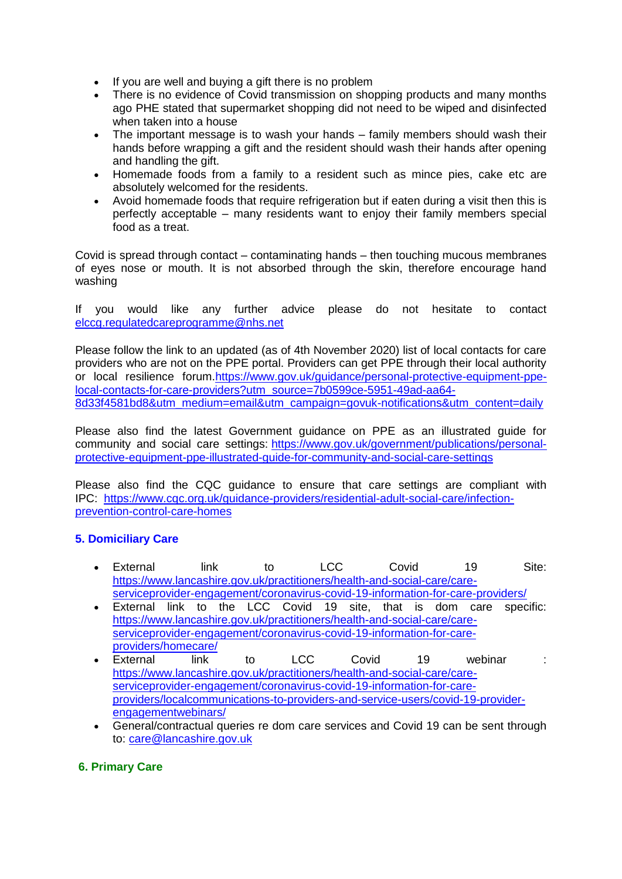- If you are well and buying a gift there is no problem
- There is no evidence of Covid transmission on shopping products and many months ago PHE stated that supermarket shopping did not need to be wiped and disinfected when taken into a house
- The important message is to wash your hands family members should wash their hands before wrapping a gift and the resident should wash their hands after opening and handling the gift.
- Homemade foods from a family to a resident such as mince pies, cake etc are absolutely welcomed for the residents.
- Avoid homemade foods that require refrigeration but if eaten during a visit then this is perfectly acceptable – many residents want to enjoy their family members special food as a treat.

Covid is spread through contact – contaminating hands – then touching mucous membranes of eyes nose or mouth. It is not absorbed through the skin, therefore encourage hand washing

If you would like any further advice please do not hesitate to contact [elccg.regulatedcareprogramme@nhs.net](mailto:elccg.regulatedcareprogramme@nhs.net)

Please follow the link to an updated (as of 4th November 2020) list of local contacts for care providers who are not on the PPE portal. Providers can get PPE through their local authority or local resilience forum[.https://www.gov.uk/guidance/personal-protective-equipment-ppe](https://www.gov.uk/guidance/personal-protective-equipment-ppe-local-contacts-for-care-providers?utm_source=7b0599ce-5951-49ad-aa64-8d33f4581bd8&utm_medium=email&utm_campaign=govuk-notifications&utm_content=daily)[local-contacts-for-care-providers?utm\\_source=7b0599ce-5951-49ad-aa64-](https://www.gov.uk/guidance/personal-protective-equipment-ppe-local-contacts-for-care-providers?utm_source=7b0599ce-5951-49ad-aa64-8d33f4581bd8&utm_medium=email&utm_campaign=govuk-notifications&utm_content=daily) [8d33f4581bd8&utm\\_medium=email&utm\\_campaign=govuk-notifications&utm\\_content=daily](https://www.gov.uk/guidance/personal-protective-equipment-ppe-local-contacts-for-care-providers?utm_source=7b0599ce-5951-49ad-aa64-8d33f4581bd8&utm_medium=email&utm_campaign=govuk-notifications&utm_content=daily)

Please also find the latest Government guidance on PPE as an illustrated guide for community and social care settings: [https://www.gov.uk/government/publications/personal](https://www.gov.uk/government/publications/personal-protective-equipment-ppe-illustrated-guide-for-community-and-social-care-settings)[protective-equipment-ppe-illustrated-guide-for-community-and-social-care-settings](https://www.gov.uk/government/publications/personal-protective-equipment-ppe-illustrated-guide-for-community-and-social-care-settings)

Please also find the CQC guidance to ensure that care settings are compliant with IPC: [https://www.cqc.org.uk/guidance-providers/residential-adult-social-care/infection](https://www.cqc.org.uk/guidance-providers/residential-adult-social-care/infection-prevention-control-care-homes)[prevention-control-care-homes](https://www.cqc.org.uk/guidance-providers/residential-adult-social-care/infection-prevention-control-care-homes)

# **5. Domiciliary Care**

- External link to LCC Covid 19 Site: [https://www.lancashire.gov.uk/practitioners/health-and-social-care/care](https://www.lancashire.gov.uk/practitioners/health-and-social-care/care-serviceprovider-engagement/coronavirus-covid-19-information-for-care-providers/)[serviceprovider-engagement/coronavirus-covid-19-information-for-care-providers/](https://www.lancashire.gov.uk/practitioners/health-and-social-care/care-serviceprovider-engagement/coronavirus-covid-19-information-for-care-providers/)
- External link to the LCC Covid 19 site, that is dom care specific: [https://www.lancashire.gov.uk/practitioners/health-and-social-care/care](https://www.lancashire.gov.uk/practitioners/health-and-social-care/care-serviceprovider-engagement/coronavirus-covid-19-information-for-care-providers/homecare/)[serviceprovider-engagement/coronavirus-covid-19-information-for-care](https://www.lancashire.gov.uk/practitioners/health-and-social-care/care-serviceprovider-engagement/coronavirus-covid-19-information-for-care-providers/homecare/)[providers/homecare/](https://www.lancashire.gov.uk/practitioners/health-and-social-care/care-serviceprovider-engagement/coronavirus-covid-19-information-for-care-providers/homecare/)
- External link to LCC Covid 19 webinar : [https://www.lancashire.gov.uk/practitioners/health-and-social-care/care](https://www.lancashire.gov.uk/practitioners/health-and-social-care/care-serviceprovider-engagement/coronavirus-covid-19-information-for-care-providers/localcommunications-to-providers-and-service-users/covid-19-provider-engagementwebinars/)[serviceprovider-engagement/coronavirus-covid-19-information-for-care](https://www.lancashire.gov.uk/practitioners/health-and-social-care/care-serviceprovider-engagement/coronavirus-covid-19-information-for-care-providers/localcommunications-to-providers-and-service-users/covid-19-provider-engagementwebinars/)[providers/localcommunications-to-providers-and-service-users/covid-19-provider](https://www.lancashire.gov.uk/practitioners/health-and-social-care/care-serviceprovider-engagement/coronavirus-covid-19-information-for-care-providers/localcommunications-to-providers-and-service-users/covid-19-provider-engagementwebinars/)[engagementwebinars/](https://www.lancashire.gov.uk/practitioners/health-and-social-care/care-serviceprovider-engagement/coronavirus-covid-19-information-for-care-providers/localcommunications-to-providers-and-service-users/covid-19-provider-engagementwebinars/)
- General/contractual queries re dom care services and Covid 19 can be sent through to: [care@lancashire.gov.uk](mailto:care@lancashire.gov.uk)

## **6. Primary Care**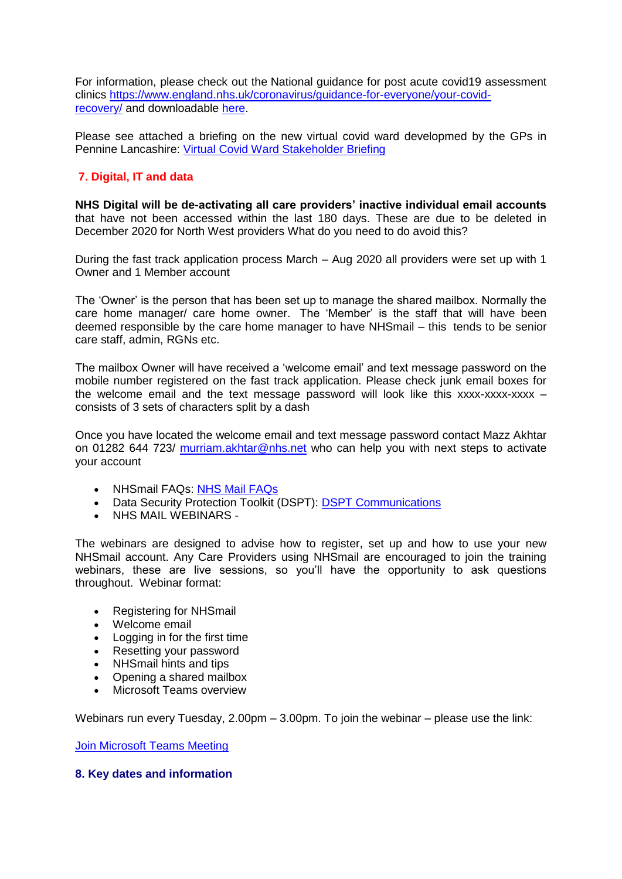For information, please check out the National guidance for post acute covid19 assessment clinics [https://www.england.nhs.uk/coronavirus/guidance-for-everyone/your-covid](https://www.england.nhs.uk/coronavirus/guidance-for-everyone/your-covid-recovery/)[recovery/](https://www.england.nhs.uk/coronavirus/guidance-for-everyone/your-covid-recovery/) and downloadable [here.](file:///E:/images/RegulatedCareSector/C0840_PostCOVID_assessment_clinic_guidance_6_November_2020.pdf)

Please see attached a briefing on the new virtual covid ward developmed by the GPs in Pennine Lancashire: [Virtual Covid Ward Stakeholder Briefing](file:///E:/images/RegulatedCareSector/Pennine_Lancashire_CVW_Stakeholder_Briefing_Final_Oct_20.docx)

# **7. Digital, IT and data**

**NHS Digital will be de-activating all care providers' inactive individual email accounts** that have not been accessed within the last 180 days. These are due to be deleted in December 2020 for North West providers What do you need to do avoid this?

During the fast track application process March – Aug 2020 all providers were set up with 1 Owner and 1 Member account

The 'Owner' is the person that has been set up to manage the shared mailbox. Normally the care home manager/ care home owner. The 'Member' is the staff that will have been deemed responsible by the care home manager to have NHSmail – this tends to be senior care staff, admin, RGNs etc.

The mailbox Owner will have received a 'welcome email' and text message password on the mobile number registered on the fast track application. Please check junk email boxes for the welcome email and the text message password will look like this xxxx-xxxx-xxxx – consists of 3 sets of characters split by a dash

Once you have located the welcome email and text message password contact Mazz Akhtar on 01282 644 723/ [murriam.akhtar@nhs.net](mailto:murriam.akhtar@nhs.net) who can help you with next steps to activate your account

- NHSmail FAQs: [NHS Mail FAQs](images/RegulatedCareSector/NHSmail_FAQs.docx)
- Data Security Protection Toolkit (DSPT): [DSPT Communications](images/RegulatedCareSector/20201023_DSPT_Comms.docx)
- NHS MAIL WEBINARS -

The webinars are designed to advise how to register, set up and how to use your new NHSmail account. Any Care Providers using NHSmail are encouraged to join the training webinars, these are live sessions, so you'll have the opportunity to ask questions throughout. Webinar format:

- Registering for NHSmail
- Welcome email
- Logging in for the first time
- Resetting your password
- NHSmail hints and tips
- Opening a shared mailbox
- Microsoft Teams overview

Webinars run every Tuesday, 2.00pm – 3.00pm. To join the webinar – please use the link:

[Join Microsoft Teams Meeting](https://teams.microsoft.com/l/meetup-join/19%3ameeting_ZGQ1MTkzMDAtZjU4OS00MDhhLWE1ZDgtNmUxNjIyNjcyYmZi%40thread.v2/0?context=%7b%22Tid%22%3a%2203159e92-72c6-4b23-a64a-af50e790adbf%22%2c%22Oid%22%3a%22cc4ef5b2-82a3-43ca-8a81-da50f393d1c8%22%7d)

#### **8. Key dates and information**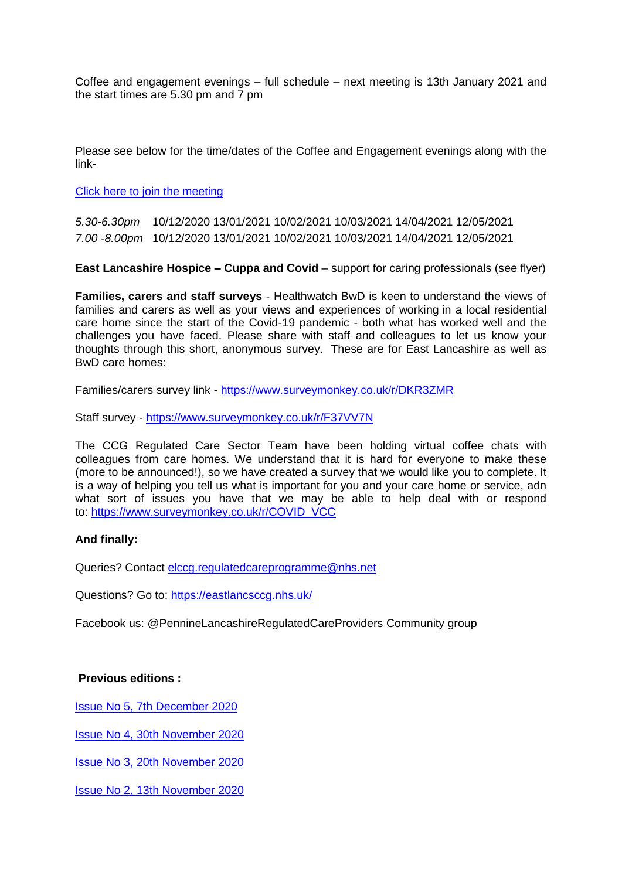Coffee and engagement evenings – full schedule – next meeting is 13th January 2021 and the start times are 5.30 pm and 7 pm

Please see below for the time/dates of the Coffee and Engagement evenings along with the link-

[Click here to join the meeting](https://teams.microsoft.com/l/meetup-join/19%3ameeting_NjkxOTI3M2MtMzdlNC00MDliLWFhMjgtZmZiZjMzZGI5OTkw%40thread.v2/0?context=%7b%22Tid%22%3a%2237c354b2-85b0-47f5-b222-07b48d774ee3%22%2c%22Oid%22%3a%22a2ec35af-1c40-4f8f-8903-a088b26ed2a2%22%7d)

*5.30-6.30pm* 10/12/2020 13/01/2021 10/02/2021 10/03/2021 14/04/2021 12/05/2021 *7.00 -8.00pm* 10/12/2020 13/01/2021 10/02/2021 10/03/2021 14/04/2021 12/05/2021

**East Lancashire Hospice – Cuppa and Covid** – support for caring professionals (see flyer)

**Families, carers and staff surveys** - Healthwatch BwD is keen to understand the views of families and carers as well as your views and experiences of working in a local residential care home since the start of the Covid-19 pandemic - both what has worked well and the challenges you have faced. Please share with staff and colleagues to let us know your thoughts through this short, anonymous survey. These are for East Lancashire as well as BwD care homes:

Families/carers survey link - <https://www.surveymonkey.co.uk/r/DKR3ZMR>

Staff survey - <https://www.surveymonkey.co.uk/r/F37VV7N>

The CCG Regulated Care Sector Team have been holding virtual coffee chats with colleagues from care homes. We understand that it is hard for everyone to make these (more to be announced!), so we have created a survey that we would like you to complete. It is a way of helping you tell us what is important for you and your care home or service, adn what sort of issues you have that we may be able to help deal with or respond to: [https://www.surveymonkey.co.uk/r/COVID\\_VCC](https://www.surveymonkey.co.uk/r/COVID_VCC)

## **And finally:**

Queries? Contact [elccg.regulatedcareprogramme@nhs.net](mailto:elccg.regulatedcareprogramme@nhs.net)

Questions? Go to:<https://eastlancsccg.nhs.uk/>

Facebook us: @PennineLancashireRegulatedCareProviders Community group

#### **Previous editions :**

[Issue No 5, 7th December 2020](images/Regulated_Care_Previous_Issue_No_5_7th_December_2020.pdf)

[Issue No 4, 30th November 2020](images/1._30th_November_2020.docx)

[Issue No 3, 20th November 2020](images/Regulated_Care_Previous_Issue_No_3_20th_Nov_2020.pdf)

[Issue No 2, 13th November 2020](images/Regulated_Care_Previous_Issue_No_2_13th_Nov_2020.pdf)